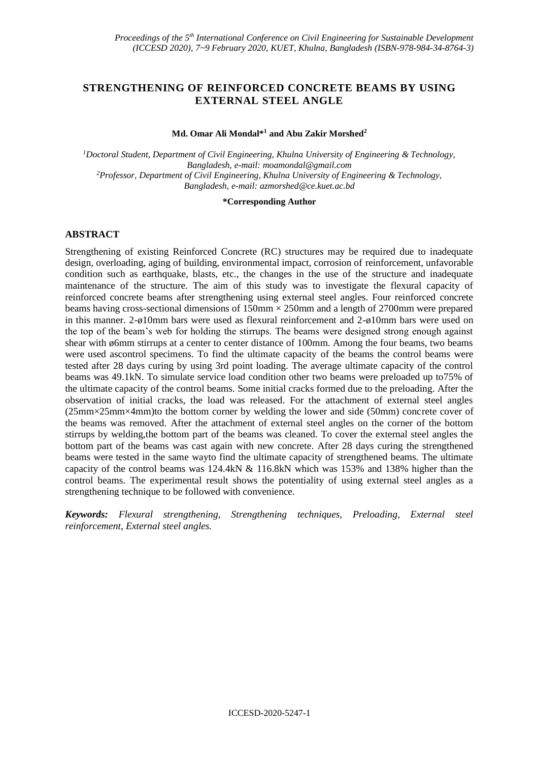# **STRENGTHENING OF REINFORCED CONCRETE BEAMS BY USING EXTERNAL STEEL ANGLE**

### **Md. Omar Ali Mondal\*<sup>1</sup> and Abu Zakir Morshed<sup>2</sup>**

*<sup>1</sup>Doctoral Student, Department of Civil Engineering, Khulna University of Engineering & Technology, Bangladesh, e-mail: [moamondal@gmail.com](mailto:moamondal@gmail.com) <sup>2</sup>Professor, Department of Civil Engineering, Khulna University of Engineering & Technology, Bangladesh, e-mail: [azmorshed@ce.kuet.ac.bd](mailto:azmorshed@ce.kuet.ac.bd)*

#### **\*Corresponding Author**

## **ABSTRACT**

Strengthening of existing Reinforced Concrete (RC) structures may be required due to inadequate design, overloading, aging of building, environmental impact, corrosion of reinforcement, unfavorable condition such as earthquake, blasts, etc., the changes in the use of the structure and inadequate maintenance of the structure. The aim of this study was to investigate the flexural capacity of reinforced concrete beams after strengthening using external steel angles. Four reinforced concrete beams having cross-sectional dimensions of  $150 \text{mm} \times 250 \text{mm}$  and a length of 2700mm were prepared in this manner. 2-ø10mm bars were used as flexural reinforcement and 2-ø10mm bars were used on the top of the beam's web for holding the stirrups. The beams were designed strong enough against shear with ø6mm stirrups at a center to center distance of 100mm. Among the four beams, two beams were used ascontrol specimens. To find the ultimate capacity of the beams the control beams were tested after 28 days curing by using 3rd point loading. The average ultimate capacity of the control beams was 49.1kN. To simulate service load condition other two beams were preloaded up to75% of the ultimate capacity of the control beams. Some initial cracks formed due to the preloading. After the observation of initial cracks, the load was released. For the attachment of external steel angles (25mm×25mm×4mm)to the bottom corner by welding the lower and side (50mm) concrete cover of the beams was removed. After the attachment of external steel angles on the corner of the bottom stirrups by welding,the bottom part of the beams was cleaned. To cover the external steel angles the bottom part of the beams was cast again with new concrete. After 28 days curing the strengthened beams were tested in the same wayto find the ultimate capacity of strengthened beams. The ultimate capacity of the control beams was 124.4kN & 116.8kN which was 153% and 138% higher than the control beams. The experimental result shows the potentiality of using external steel angles as a strengthening technique to be followed with convenience.

*Keywords: Flexural strengthening, Strengthening techniques, Preloading, External steel reinforcement, External steel angles.*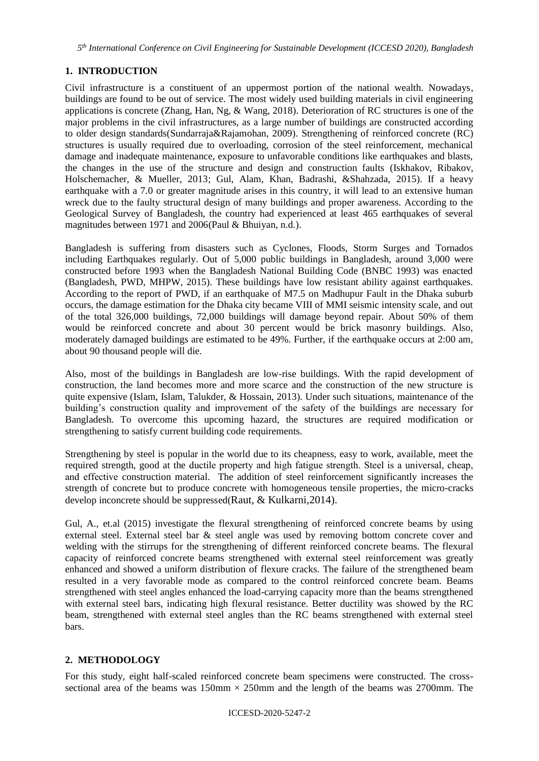*5 th International Conference on Civil Engineering for Sustainable Development (ICCESD 2020), Bangladesh*

# **1. INTRODUCTION**

Civil infrastructure is a constituent of an uppermost portion of the national wealth. Nowadays, buildings are found to be out of service. The most widely used building materials in civil engineering applications is concrete (Zhang, Han, Ng, & Wang, 2018). Deterioration of RC structures is one of the major problems in the civil infrastructures, as a large number of buildings are constructed according to older design standards(Sundarraja&Rajamohan, 2009). Strengthening of reinforced concrete (RC) structures is usually required due to overloading, corrosion of the steel reinforcement, mechanical damage and inadequate maintenance, exposure to unfavorable conditions like earthquakes and blasts, the changes in the use of the structure and design and construction faults (Iskhakov, Ribakov, Holschemacher, & Mueller, 2013; Gul, Alam, Khan, Badrashi, &Shahzada, 2015). If a heavy earthquake with a 7.0 or greater magnitude arises in this country, it will lead to an extensive human wreck due to the faulty structural design of many buildings and proper awareness. According to the Geological Survey of Bangladesh, the country had experienced at least 465 earthquakes of several magnitudes between 1971 and 2006(Paul & Bhuiyan, n.d.).

Bangladesh is suffering from disasters such as Cyclones, Floods, Storm Surges and Tornados including Earthquakes regularly. Out of 5,000 public buildings in Bangladesh, around 3,000 were constructed before 1993 when the Bangladesh National Building Code (BNBC 1993) was enacted (Bangladesh, PWD, MHPW, 2015). These buildings have low resistant ability against earthquakes. According to the report of PWD, if an earthquake of M7.5 on Madhupur Fault in the Dhaka suburb occurs, the damage estimation for the Dhaka city became VIII of MMI seismic intensity scale, and out of the total 326,000 buildings, 72,000 buildings will damage beyond repair. About 50% of them would be reinforced concrete and about 30 percent would be brick masonry buildings. Also, moderately damaged buildings are estimated to be 49%. Further, if the earthquake occurs at 2:00 am, about 90 thousand people will die.

Also, most of the buildings in Bangladesh are low-rise buildings. With the rapid development of construction, the land becomes more and more scarce and the construction of the new structure is quite expensive (Islam, Islam, Talukder, & Hossain, 2013). Under such situations, maintenance of the building's construction quality and improvement of the safety of the buildings are necessary for Bangladesh. To overcome this upcoming hazard, the structures are required modification or strengthening to satisfy current building code requirements.

Strengthening by steel is popular in the world due to its cheapness, easy to work, available, meet the required strength, good at the ductile property and high fatigue strength. Steel is a universal, cheap, and effective construction material. The addition of steel reinforcement significantly increases the strength of concrete but to produce concrete with homogeneous tensile properties, the micro-cracks develop inconcrete should be suppressed(Raut, & Kulkarni,2014).

Gul, A., et.al (2015) investigate the flexural strengthening of reinforced concrete beams by using external steel. External steel bar & steel angle was used by removing bottom concrete cover and welding with the stirrups for the strengthening of different reinforced concrete beams. The flexural capacity of reinforced concrete beams strengthened with external steel reinforcement was greatly enhanced and showed a uniform distribution of flexure cracks. The failure of the strengthened beam resulted in a very favorable mode as compared to the control reinforced concrete beam. Beams strengthened with steel angles enhanced the load-carrying capacity more than the beams strengthened with external steel bars, indicating high flexural resistance. Better ductility was showed by the RC beam, strengthened with external steel angles than the RC beams strengthened with external steel bars.

# **2. METHODOLOGY**

For this study, eight half-scaled reinforced concrete beam specimens were constructed. The crosssectional area of the beams was  $150 \text{mm} \times 250 \text{mm}$  and the length of the beams was 2700mm. The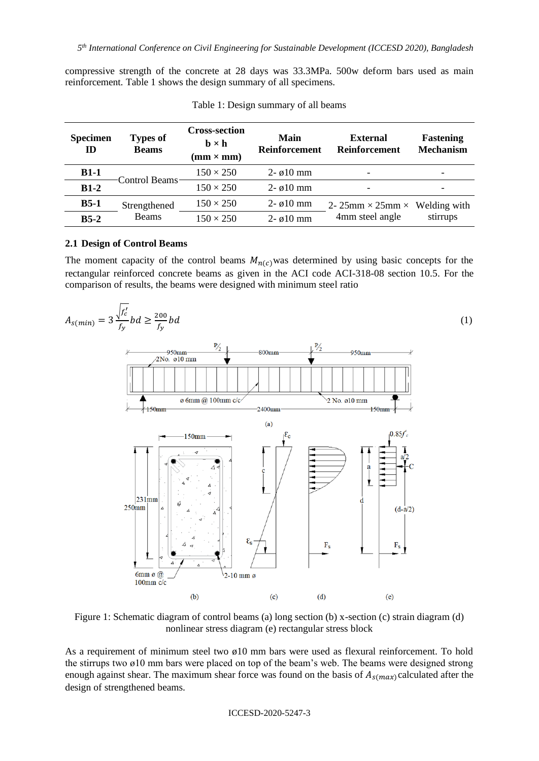compressive strength of the concrete at 28 days was 33.3MPa. 500w deform bars used as main reinforcement. Table 1 shows the design summary of all specimens.

| <b>Specimen</b><br>ID | <b>Types of</b><br><b>Beams</b> | <b>Cross-section</b><br>$\mathbf{b} \times \mathbf{h}$<br>$(mm \times mm)$ | Main<br>Reinforcement   | <b>External</b><br><b>Reinforcement</b> | Fastening<br><b>Mechanism</b> |  |
|-----------------------|---------------------------------|----------------------------------------------------------------------------|-------------------------|-----------------------------------------|-------------------------------|--|
| $B1-1$                | Control Beams                   | $150 \times 250$                                                           | $2 - \varnothing 10$ mm | -                                       |                               |  |
| $B1-2$                |                                 | $150 \times 250$                                                           | $2 - \varnothing 10$ mm | $\overline{\phantom{a}}$                |                               |  |
| $B5-1$                | Strengthened                    | $150 \times 250$                                                           | $2 - \varnothing 10$ mm | 2- 25mm $\times$ 25mm $\times$          | Welding with                  |  |
| $B5-2$                | <b>Beams</b>                    | $150 \times 250$                                                           | $2 - \varnothing 10$ mm | 4mm steel angle                         | stirrups                      |  |

Table 1: Design summary of all beams

### **2.1 Design of Control Beams**

The moment capacity of the control beams  $M_{n(c)}$  was determined by using basic concepts for the rectangular reinforced concrete beams as given in the ACI code ACI-318-08 section 10.5. For the comparison of results, the beams were designed with minimum steel ratio



Figure 1: Schematic diagram of control beams (a) long section (b) x-section (c) strain diagram (d) nonlinear stress diagram (e) rectangular stress block

As a requirement of minimum steel two ø10 mm bars were used as flexural reinforcement. To hold the stirrups two ø10 mm bars were placed on top of the beam's web. The beams were designed strong enough against shear. The maximum shear force was found on the basis of  $A_{s(max)}$  calculated after the design of strengthened beams.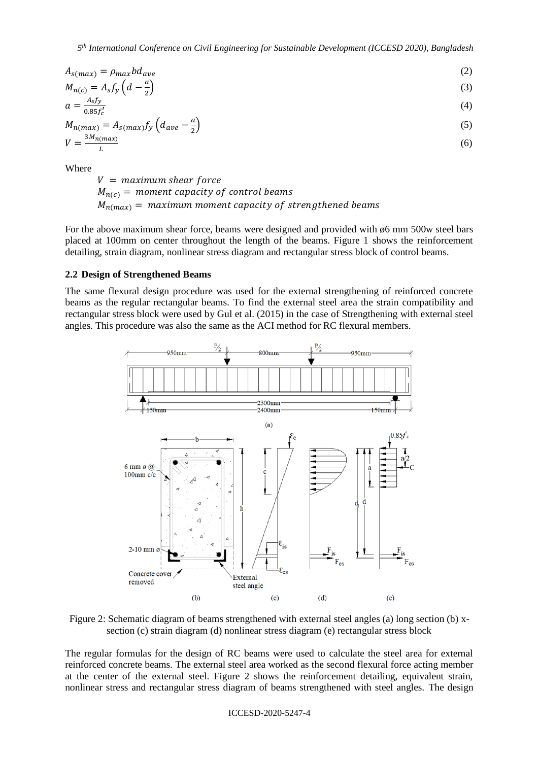$$
A_{s(max)} = \rho_{max} b d_{ave}
$$
\n
$$
M_{s(max)} = A_{s} f_{s}(d_{max})
$$
\n
$$
(2)
$$

$$
M_{n(c)} = A_s f_y \left( d - \frac{a}{2} \right) \tag{3}
$$
  
\n
$$
a = \frac{A_s f_y}{2.85 \cdot 5!} \tag{4}
$$

$$
u = 0.85f_c'
$$
  
\n
$$
M_{n(max)} = A_{s(max)}f_y \left(d_{ave} - \frac{a}{2}\right)
$$
\n(5)

$$
V = \frac{3M_n(max)}{L}
$$
 (6)

**Where** 

 $V =$  maximum shear force  $M_{n(c)}$  = moment capacity of control beams  $M_{n(m \alpha x)} =$  maximum moment capacity of strengthened beams

For the above maximum shear force, beams were designed and provided with ø6 mm 500w steel bars placed at 100mm on center throughout the length of the beams. Figure 1 shows the reinforcement detailing, strain diagram, nonlinear stress diagram and rectangular stress block of control beams.

### **2.2 Design of Strengthened Beams**

The same flexural design procedure was used for the external strengthening of reinforced concrete beams as the regular rectangular beams. To find the external steel area the strain compatibility and rectangular stress block were used by Gul et al. (2015) in the case of Strengthening with external steel angles. This procedure was also the same as the ACI method for RC flexural members.



Figure 2: Schematic diagram of beams strengthened with external steel angles (a) long section (b) xsection (c) strain diagram (d) nonlinear stress diagram (e) rectangular stress block

The regular formulas for the design of RC beams were used to calculate the steel area for external reinforced concrete beams. The external steel area worked as the second flexural force acting member at the center of the external steel. Figure 2 shows the reinforcement detailing, equivalent strain, nonlinear stress and rectangular stress diagram of beams strengthened with steel angles. The design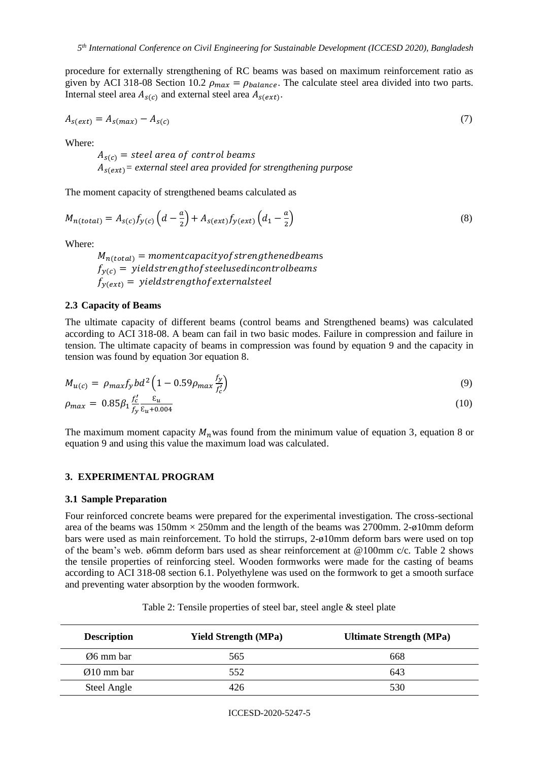procedure for externally strengthening of RC beams was based on maximum reinforcement ratio as given by ACI 318-08 Section 10.2  $\rho_{max} = \rho_{balance}$ . The calculate steel area divided into two parts. Internal steel area  $A_{s(c)}$  and external steel area  $A_{s(ext)}$ .

$$
A_{s(ext)} = A_{s(max)} - A_{s(c)} \tag{7}
$$

Where:

 $A_{s(c)}$  = steel area of control beams  $A_{s(\text{ext})}$  = external steel area provided for strengthening purpose

The moment capacity of strengthened beams calculated as

$$
M_{n(total)} = A_{s(c)} f_{y(c)} \left( d - \frac{a}{2} \right) + A_{s(ext)} f_{y(ext)} \left( d_1 - \frac{a}{2} \right)
$$
\n
$$
(8)
$$

Where:

 $M_{n(total)}$  = momentcapacity of strengthened beams  $f_{\gamma(c)}$  = yieldstrengthof steelusedincontrolbeams  $f_{v(ext)}$  = yieldstrengthof externalsteel

## **2.3 Capacity of Beams**

The ultimate capacity of different beams (control beams and Strengthened beams) was calculated according to ACI 318-08. A beam can fail in two basic modes. Failure in compression and failure in tension. The ultimate capacity of beams in compression was found by equation 9 and the capacity in tension was found by equation 3or equation 8.

$$
M_{u(c)} = \rho_{max} f_y b d^2 \left( 1 - 0.59 \rho_{max} \frac{f_y}{f_c'} \right)
$$
(9)

$$
\rho_{max} = 0.85 \beta_1 \frac{f_c'}{f_y} \frac{\varepsilon_u}{\varepsilon_{u} + 0.004} \tag{10}
$$

The maximum moment capacity  $M_n$  was found from the minimum value of equation 3, equation 8 or equation 9 and using this value the maximum load was calculated.

#### **3. EXPERIMENTAL PROGRAM**

#### **3.1 Sample Preparation**

Four reinforced concrete beams were prepared for the experimental investigation. The cross-sectional area of the beams was  $150 \text{mm} \times 250 \text{mm}$  and the length of the beams was  $2700 \text{mm}$ .  $2-\phi 10 \text{mm}$  deform bars were used as main reinforcement. To hold the stirrups, 2-ø10mm deform bars were used on top of the beam's web. ø6mm deform bars used as shear reinforcement at @100mm c/c. Table 2 shows the tensile properties of reinforcing steel. Wooden formworks were made for the casting of beams according to ACI 318-08 section 6.1. Polyethylene was used on the formwork to get a smooth surface and preventing water absorption by the wooden formwork.

| <b>Description</b>      | <b>Yield Strength (MPa)</b> | <b>Ultimate Strength (MPa)</b> |
|-------------------------|-----------------------------|--------------------------------|
| Ø6 mm bar               | 565                         | 668                            |
| $\varnothing$ 10 mm bar | 552                         | 643                            |
| Steel Angle             | 426                         | 530                            |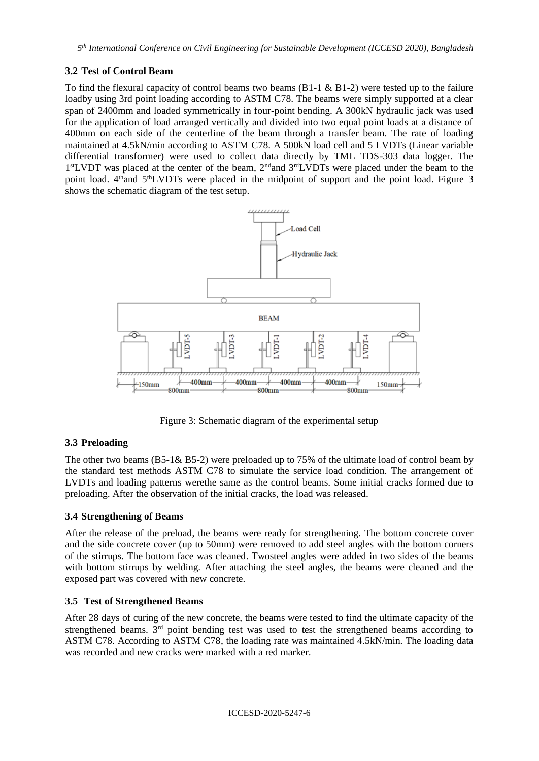## **3.2 Test of Control Beam**

To find the flexural capacity of control beams two beams  $(B1-1 \& B1-2)$  were tested up to the failure loadby using 3rd point loading according to ASTM C78. The beams were simply supported at a clear span of 2400mm and loaded symmetrically in four-point bending. A 300kN hydraulic jack was used for the application of load arranged vertically and divided into two equal point loads at a distance of 400mm on each side of the centerline of the beam through a transfer beam. The rate of loading maintained at 4.5kN/min according to ASTM C78. A 500kN load cell and 5 LVDTs (Linear variable differential transformer) were used to collect data directly by TML TDS-303 data logger. The 1<sup>st</sup>LVDT was placed at the center of the beam, 2<sup>nd</sup> and 3<sup>rd</sup>LVDTs were placed under the beam to the point load.  $4<sup>th</sup>$  and  $5<sup>th</sup>$ LVDTs were placed in the midpoint of support and the point load. Figure 3 shows the schematic diagram of the test setup.



Figure 3: Schematic diagram of the experimental setup

## **3.3 Preloading**

The other two beams (B5-1& B5-2) were preloaded up to 75% of the ultimate load of control beam by the standard test methods ASTM C78 to simulate the service load condition. The arrangement of LVDTs and loading patterns werethe same as the control beams. Some initial cracks formed due to preloading. After the observation of the initial cracks, the load was released.

## **3.4 Strengthening of Beams**

After the release of the preload, the beams were ready for strengthening. The bottom concrete cover and the side concrete cover (up to 50mm) were removed to add steel angles with the bottom corners of the stirrups. The bottom face was cleaned. Twosteel angles were added in two sides of the beams with bottom stirrups by welding. After attaching the steel angles, the beams were cleaned and the exposed part was covered with new concrete.

## **3.5 Test of Strengthened Beams**

After 28 days of curing of the new concrete, the beams were tested to find the ultimate capacity of the strengthened beams. 3<sup>rd</sup> point bending test was used to test the strengthened beams according to ASTM C78. According to ASTM C78, the loading rate was maintained 4.5kN/min. The loading data was recorded and new cracks were marked with a red marker.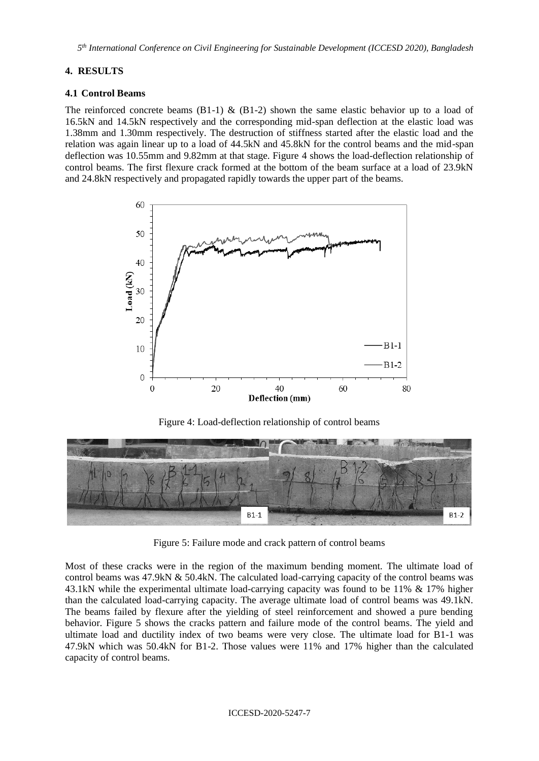*5 th International Conference on Civil Engineering for Sustainable Development (ICCESD 2020), Bangladesh*

## **4. RESULTS**

### **4.1 Control Beams**

The reinforced concrete beams  $(B1-1)$  &  $(B1-2)$  shown the same elastic behavior up to a load of 16.5kN and 14.5kN respectively and the corresponding mid-span deflection at the elastic load was 1.38mm and 1.30mm respectively. The destruction of stiffness started after the elastic load and the relation was again linear up to a load of 44.5kN and 45.8kN for the control beams and the mid-span deflection was 10.55mm and 9.82mm at that stage. Figure 4 shows the load-deflection relationship of control beams. The first flexure crack formed at the bottom of the beam surface at a load of 23.9kN and 24.8kN respectively and propagated rapidly towards the upper part of the beams.



Figure 4: Load-deflection relationship of control beams



Figure 5: Failure mode and crack pattern of control beams

Most of these cracks were in the region of the maximum bending moment. The ultimate load of control beams was 47.9kN & 50.4kN. The calculated load-carrying capacity of the control beams was 43.1kN while the experimental ultimate load-carrying capacity was found to be 11% & 17% higher than the calculated load-carrying capacity. The average ultimate load of control beams was 49.1kN. The beams failed by flexure after the yielding of steel reinforcement and showed a pure bending behavior. Figure 5 shows the cracks pattern and failure mode of the control beams. The yield and ultimate load and ductility index of two beams were very close. The ultimate load for B1-1 was 47.9kN which was 50.4kN for B1-2. Those values were 11% and 17% higher than the calculated capacity of control beams.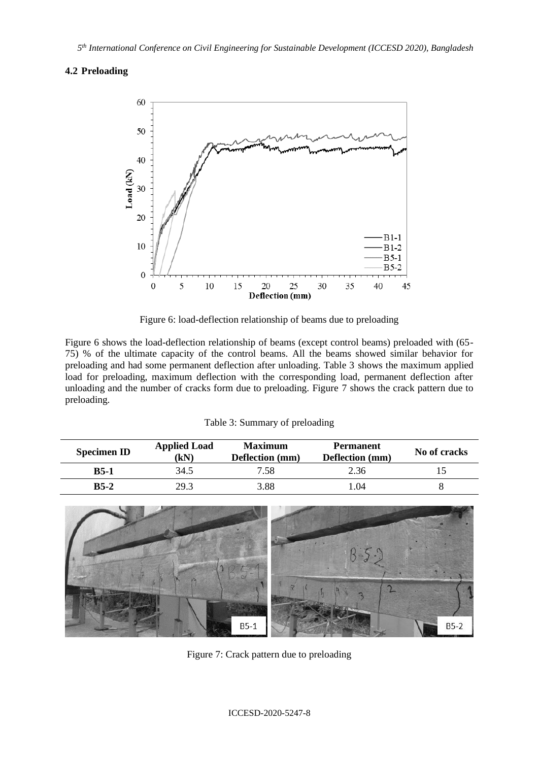## **4.2 Preloading**



Figure 6: load-deflection relationship of beams due to preloading

Figure 6 shows the load-deflection relationship of beams (except control beams) preloaded with (65- 75) % of the ultimate capacity of the control beams. All the beams showed similar behavior for preloading and had some permanent deflection after unloading. Table 3 shows the maximum applied load for preloading, maximum deflection with the corresponding load, permanent deflection after unloading and the number of cracks form due to preloading. Figure 7 shows the crack pattern due to preloading.

|  |  |  | Table 3: Summary of preloading |
|--|--|--|--------------------------------|
|--|--|--|--------------------------------|

| <b>Specimen ID</b> | <b>Applied Load</b><br>(kN) | <b>Maximum</b><br>Deflection (mm) | <b>Permanent</b><br>Deflection (mm) | No of cracks |
|--------------------|-----------------------------|-----------------------------------|-------------------------------------|--------------|
| $B5-1$             | 34.5                        | 7.58                              | 2.36                                |              |
| $B5-2$             | 29.3                        | 3.88                              | .04                                 |              |



Figure 7: Crack pattern due to preloading

#### ICCESD-2020-5247-8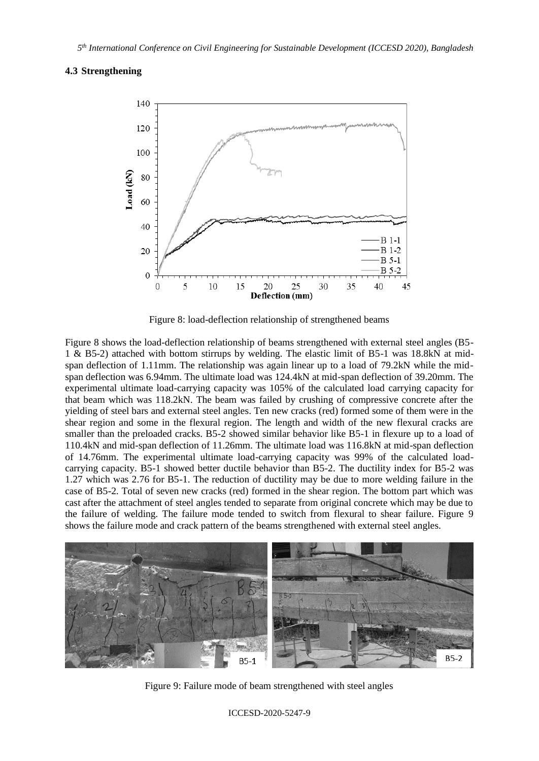### **4.3 Strengthening**



Figure 8: load-deflection relationship of strengthened beams

Figure 8 shows the load-deflection relationship of beams strengthened with external steel angles (B5- 1 & B5-2) attached with bottom stirrups by welding. The elastic limit of B5-1 was 18.8kN at midspan deflection of 1.11mm. The relationship was again linear up to a load of 79.2kN while the midspan deflection was 6.94mm. The ultimate load was 124.4kN at mid-span deflection of 39.20mm. The experimental ultimate load-carrying capacity was 105% of the calculated load carrying capacity for that beam which was 118.2kN. The beam was failed by crushing of compressive concrete after the yielding of steel bars and external steel angles. Ten new cracks (red) formed some of them were in the shear region and some in the flexural region. The length and width of the new flexural cracks are smaller than the preloaded cracks. B5-2 showed similar behavior like B5-1 in flexure up to a load of 110.4kN and mid-span deflection of 11.26mm. The ultimate load was 116.8kN at mid-span deflection of 14.76mm. The experimental ultimate load-carrying capacity was 99% of the calculated loadcarrying capacity. B5-1 showed better ductile behavior than B5-2. The ductility index for B5-2 was 1.27 which was 2.76 for B5-1. The reduction of ductility may be due to more welding failure in the case of B5-2. Total of seven new cracks (red) formed in the shear region. The bottom part which was cast after the attachment of steel angles tended to separate from original concrete which may be due to the failure of welding. The failure mode tended to switch from flexural to shear failure. Figure 9 shows the failure mode and crack pattern of the beams strengthened with external steel angles.



Figure 9: Failure mode of beam strengthened with steel angles

ICCESD-2020-5247-9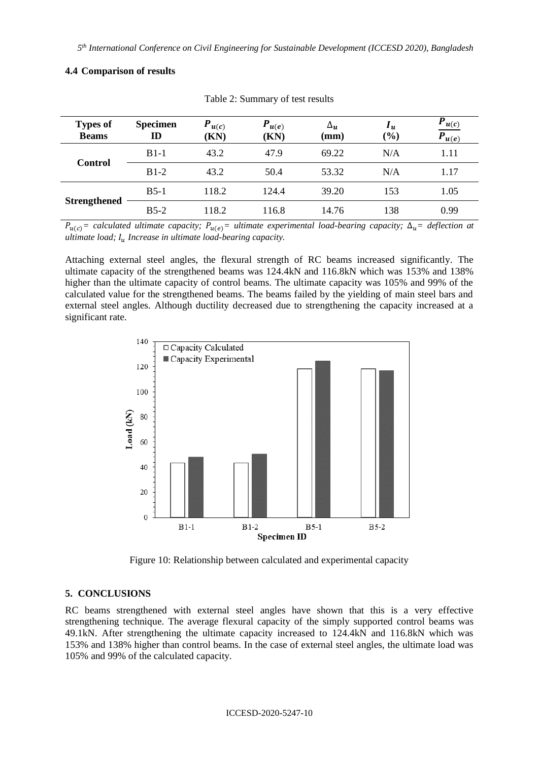| <b>Types of</b><br><b>Beams</b> | <b>Specimen</b><br>${\bf I\!D}$ | $P_{u(c)}$<br>(KN) | $P_{u(e)}$<br>(KN) | $\Delta_{\boldsymbol{u}}$<br>$(\mathbf{mm})$ | $\mathbf{u}_u$<br>(%) | $P_{u(c)}$<br>$\overline{P_{u(e)}}$ |
|---------------------------------|---------------------------------|--------------------|--------------------|----------------------------------------------|-----------------------|-------------------------------------|
| <b>Control</b>                  | $B1-1$                          | 43.2               | 47.9               | 69.22                                        | N/A                   | 1.11                                |
|                                 | $B1-2$                          | 43.2               | 50.4               | 53.32                                        | N/A                   | 1.17                                |
| <b>Strengthened</b>             | $B5-1$                          | 118.2              | 124.4              | 39.20                                        | 153                   | 1.05                                |
|                                 | $B5-2$                          | 118.2              | 116.8              | 14.76                                        | 138                   | 0.99                                |

#### **4.4 Comparison of results**

Table 2: Summary of test results

 $P_{u(c)}$ = calculated ultimate capacity;  $P_{u(e)}$ = ultimate experimental load-bearing capacity;  $\Delta_u$ = deflection at *ultimate load; Increase in ultimate load-bearing capacity.* 

Attaching external steel angles, the flexural strength of RC beams increased significantly. The ultimate capacity of the strengthened beams was 124.4kN and 116.8kN which was 153% and 138% higher than the ultimate capacity of control beams. The ultimate capacity was 105% and 99% of the calculated value for the strengthened beams. The beams failed by the yielding of main steel bars and external steel angles. Although ductility decreased due to strengthening the capacity increased at a significant rate.



Figure 10: Relationship between calculated and experimental capacity

#### **5. CONCLUSIONS**

RC beams strengthened with external steel angles have shown that this is a very effective strengthening technique. The average flexural capacity of the simply supported control beams was 49.1kN. After strengthening the ultimate capacity increased to 124.4kN and 116.8kN which was 153% and 138% higher than control beams. In the case of external steel angles, the ultimate load was 105% and 99% of the calculated capacity.